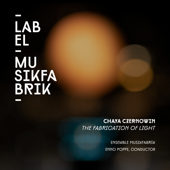# LAB EL **MU** SIKFA<br>BRIK

#### Chaya CzernOwin *The fabricatiOn Of Light*

Ensemble Musikfabrik EnnO POPPE, cONDUCTOR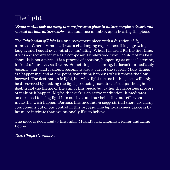### The light

*"Some genius took me away to some faraway place in nature, maybe a desert, and showed me how nature works."* an audience member, upon hearing the piece.

*The Fabrication of Light* is a one-movement piece with a duration of 65 minutes. When I wrote it, it was a challenging experience, it kept growing longer, and I could not control its unfolding. When I heard it for the first time, it was a discovery for me as a composer. I understood why I could not make it short. It is not a piece; it is a process of creation, happening as one is listening, in front of our ears, as it were. Something is becoming. It doesn't immediately become, and what it should become is also a part of the search. Many things are happening, and at one point, something happens which moves the flow forward. The destination is light, but what light means in this piece will only be discovered by making the light-producing machine. Perhaps, the light itself is not the theme or the aim of this piece, but rather the laborious process of making it happen. Maybe the work is an active meditation. It meditates on our need to bring light into our lives and our belief that our efforts can make this wish happen. Perhaps this meditation suggests that there are many components out of our control in this process. The light-darkness dance is by far more intricate than we rationally like to believe.

The piece is dedicated to Ensemble Musikfabrik, Thomas Fichter and Enno Poppe.

*Text: Chaya Czernowin*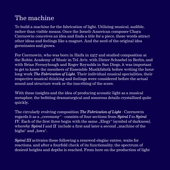### The machine

To build a machine for the fabrication of light. Utilizing musical, audible, rather than visible means. Once the Israeli-American composer Chaya Czernowin conceives an idea and finds a title for a piece, these words attract other ideas and feelings like a magnet. And the seed of the original idea germinates and grows.

For Czernowin, who was born in Haifa in 1957 and studied composition at the Rubin Academy of Music in Tel Aviv, with Dieter Schnebel in Berlin, and with Brian Ferneyhough and Roger Reynolds in San Diego, it was important to get to know the members of Ensemble Musikfabrik before writing the hourlong work *The Fabrication of Light*. Their individual musical specialities, their respective musical thinking and feelings were considered before the actual sound and structure work or the inscribing of the score.

With these insights and the idea of producing acoustic light as a musical metaphor, the befitting dramaturgical and sonorous details crystallised quite quickly.

The circularly evolving composition *The Fabrication of Light* - Czernowin regards it as a "ceremony" - consists of four sections from *Spiral I* to *Spiral IV*. Each of the first three begin with the same "Elegy" (symbol of darkness), whereby  $Spiral I$  and  $II$  include a first and later a second  $,$  machine of the highs" and ..lows".

*Spiral III* activates these following a renewed elegiac entree, waits for reactions, and after a fourfold check of its functionality, the spectrum of desired heights and depths is reached. From here on the production of light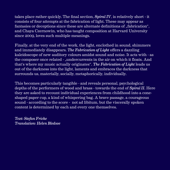takes place rather quickly. The final section, *Spiral IV*, is relatively short - it consists of four attempts at the fabrication of light. These may appear as fantasies or deceptions since these are alternate definitions of  $\mathcal{L}$  fabrication". and Chaya Czernowin, who has taught composition at Harvard University since 2009, loves such multiple meanings.

Finally, at the very end of the work, the light, enclothed in sound, shimmers and immediately disappears. *The Fabrication of Light* offers a dazzling kaleidoscope of new auditory colours amidst sound and noise. It acts with - as the composer once related - ..undercurrents in the air on which it floats. And that's where my music actually originates". *The Fabrication of Light* leads us out of the darkness into the light, laments and embraces the darkness that surrounds us, materially, socially, metaphorically, individually.

This becomes particularly tangible - and reveals personal, psychological depths of the performers of wood and brass - towards the end of *Spiral II*. Here they are asked to recount individual experiences from childhood into a coneshaped paper cup, a kind of whispering bag. A brave passage, a courageous sound - according to the score - not ad libitum, but the viscerally spoken content is determined by each and every one themselves.

*Text: Stefan Fricke Translation: Helen Bledsoe*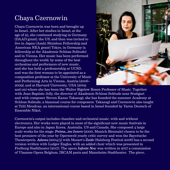#### Chaya Czernowin

Chaya Czernowin was born and brought up in Israel. After her studies in Israel, at the age of 25, she continued studying in Germany (DAAD grant), the US, and then was invited to live in Japan (Asahi Shimbun Fellowship and American NEA grant) Tokyo, in Germany (a fellowship at the Akademie Schloss Solitude) and in Vienna. Her music has been performed throughout the world, by some of the best orchestras and performers of new music, and she has held a professorship at UCSD, and was the first woman to be appointed as a composition professor at the University of Music and Performing Arts in Vienna, Austria (2006– 2009), and at Harvard University, USA (2009



and on) where she has been the Walter Bigelow Rosen Professor of Music. Together with Jean-Baptiste Jolly, the director of Akademie Schloss Solitude near Stuttgart and with composer Steven Kazuo Takasugi, she has founded the summer Academy at Schloss Solitude, a biannual course for composers. Takasugi and Czernowin also taught at Tzlil Meudcan, an international course based in Israel founded by Yaron Deutsch of Ensemble Nikel.

Czernowin's output includes chamber and orchestral music, with and without electronics. Her works were played in most of the significant new music festivals in Europe and also in Japan Korea, Australia, US and Canada. She composed 4 large scale works for the stage: *Pnima...ins Innere* (2000, Munich Biennale) chosen to be the best premiere of the year by Opernwelt yearly critic survey and won the Bayerische Theaterpreis. *Adama* (2004/5) with Mozart's *Zaide* (Salzburg Festival 2006) has a second version written with Ludger Engles, with an added choir which was presented in Freiburg Stadttheater (2017). The opera *Infinite Now* was written in 2017 a commission of Vlaamse Opera Belgium, IRCAM paris and Mannheim Stadtheater. The piece,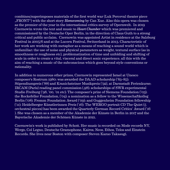combines/superimposes materials of the first world war (Luk Perceval theater piece "FRONT") with the short story *Homecoming* by Can Xue. Also this opera was chosen as the premier of the year in the international critics survey of Opernwelt. In 2019 Czernowin wrote the text and music to *Heart Chamber* which was premiered and commissioned by the Deutsche Oper Berlin, in the direction of Claus Guth to a strong critical and public acclaim. Czernowin was appointed Artist in residence at the Salzburg Festival in 2005/6 and at the Lucern Festival, Switzerland in 2013. Characteristic of her work are working with metaphor as a means of reaching a sound world which is unfamiliar; the use of noise and physical parameters as weight, textural surface (as in smoothness or roughness etc), problematization of time and unfolding and shifting of scale in order to create a vital, visceral and direct sonic experience, all this with the aim of reaching a music of the subconscious which goes beyond style conventions or rationality.

In addition to numerous other prizes, Czernowin represented Israel at Unesco composer's Rostrum 1980; was awarded the DAAD scholarship ('83–85); Stipendiumpreis ('88) and Kranichsteiner Musikpreis ('92), at Darmstadt Ferienkurse; IRCAM (Paris) reading panel commission ('98); scholarships of SWR experimental Studio Freiburg ('98, '00, '01 etc); The composer's prize of Siemens Foundation ('03); the Rockefeller Foundation, ('04); a nomination as a fellow to the Wissenschaftkolleg Berlin ('08); Fromm Foundation Award ('09); and Guggenheim Foundation fellowship  $('11); Heidelberger Künstlerinnen Preis ('16); The WERGO portrait CD The Quiet (5)$ orchestral pieces) has been awarded the Quarterly German Record Critics' Award ('16 ). She was chosen as a member of the Akademie der Künste in Berlin in 2017 and the Bayerische Akademie der Schönen Künste in 2021.

Czernowin's work is published by Schott. Her music is recorded on Mode records NY, Wergo, Col Legno, Deutsche Gramophone, Kairos, Neos, Ethos, Telos and Einstein Records. She lives near Boston with composer Steven Kazuo Takasugi.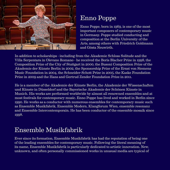

### Enno Poppe

Enno Poppe, born in 1969, is one of the most important composers of contemporary music in Germany. Poppe studied conducting and composition at the Berlin University of the Arts, among others with Friedrich Goldmann and Gösta Neuwirth.

In addition to scholarships - including from the Akademie Schloss Solitude and the Villa Serpentara in Olevano Romano - he received the Boris Blacher Prize in 1998, the Composition Prize of the City of Stuttgart in 2000, the Busoni Composition Prize of the Akademie der Künste Berlin in 2002, the Sponsorship Prize of the Ernst von Siemens Music Foundation in 2004, the Schneider-Schott Prize in 2005, the Kaske Foundation Prize in 2009 and the Hans and Gertrud Zender Foundation Prize in 2011.

He is a member of the Akademie der Künste Berlin, the Akademie der Wissenschaften und Künste in Düsseldorf and the Bayerische Akademie der Schönen Künste in Munich. His works are performed worldwide by almost all renowned ensembles and at most festivals for contemporary music. Enno Poppe has lived and worked in Berlin since 1990. He works as a conductor with numerous ensembles for contemporary music such as Ensemble Musikfabrik, Ensemble Modern, Klangforum Wien, ensemble resonanz and Ensemble Intercontemporain. He has been conductor of the ensemble mosaik since 1998.

### Ensemble Musikfabrik

Ever since its formation, Ensemble Musikfabrik has had the reputation of being one of the leading ensembles for contemporary music. Following the literal meaning of its name, Ensemble Musikfabrik is particularly dedicated to artistic innovation. New, unknown, and often personally commissioned works in unusual media are typical of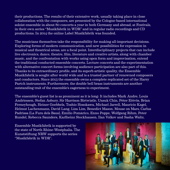their productions. The results of their extensive work, usually taking place in close collaboration with the composers, are presented by the Cologne-based international soloist ensemble in about 80 concerts a year in both Germany and abroad, at Festivals, in their own series "Musikfabrik in WDR" and in regular radio recordings and CD productions. In 2014 the online Label Musikfabrik was founded.

The musicians themselves take the responsibility for making all-important decisions. Exploring forms of modern communication, and new possibilities for expression in musical and theatrical areas, are a focal point. Interdisciplinary projects that can include live electronics, dance, theatre, film, literature and creative artists, along with chamber music, and the confrontation with works using open form and improvisation, extend the traditional conducted ensemble concerts. Lecture concerts and the experimentation with alternative concert forms involving audience participation are also part of this. Thanks to its extraordinary profile, and its superb artistic quality, the Ensemble Musikfabrik is sought after world wide and is a trusted partner of renowned composers and conductors. Since 2013 the ensemble owns a complete replicated set of the Harry Partch instruments. Furthermore, the double bell brass instruments are another outstanding trait of the ensemble's eagerness to experiment.

The ensemble's guest list is as prominent as it is long: It includes Mark Andre, Louis Andriessen, Stefan Asbury, Sir Harrison Birtwistle, Unsuk Chin, Péter Eötvös, Brian Ferneyhough, Heiner Goebbels, Toshio Hosokawa, Michael Jarrell, Mauricio Kagel, Helmut Lachenmann, David Lang, Liza Lim, Benedict Mason, Mouse on Mars, Carlus Padrissa (La Fura dels Baus), Emilio Pomàrico, Enno Poppe, Wolfgang Rihm, Peter Rundel, Rebecca Saunders, Karlheinz Stockhausen, Ilan Volkov and Sasha Waltz.

Ensemble Musikfabrik is supported by the state of North Rhine-Westphalia. The Kunststiftung NRW supports the series "Musikfabrik in WDR".

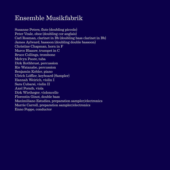#### Ensemble Musikfabrik

Susanne Peters, flute (doubling piccolo) Peter Veale, oboe (doubling cor anglais) Carl Rosman, clarinet in Bb (doubling bass clarinet in Bb) James Aylward, bassoon (doubling double bassoon) Christine Chapman, horn in F Marco Blaauw, trumpet in C Bruce Collings, trombone Melvyn Poore, tuba Dirk Rothbrust, percussion Rie Watanabe, percussion Benjamin Kobler, piano Ulrich Löffler, keyboard (Sampler) Hannah Weirich, violin I Sara Cubarsi, violin II Axel Porath, viola Dirk Wietheger, violoncello Florentin Ginot, double bass Maximiliano Estudies, preparation sampler/electronics Marrie Carroll, preparation sampler/electronics Enno Poppe, conductor